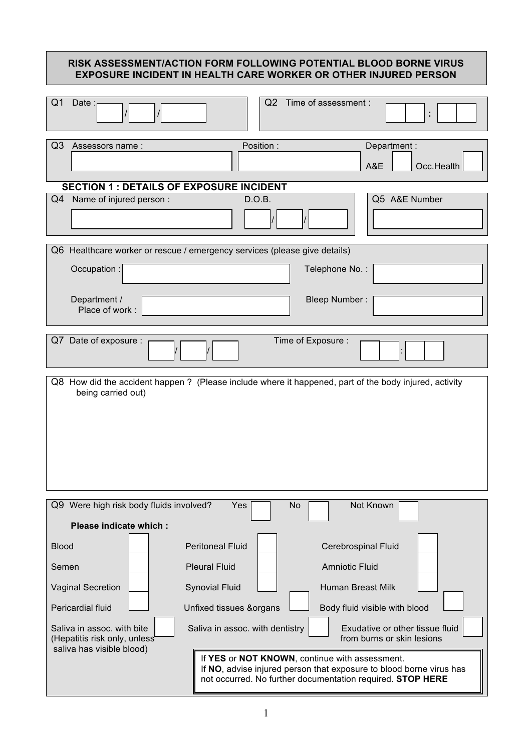# **RISK ASSESSMENT/ACTION FORM FOLLOWING POTENTIAL BLOOD BORNE VIRUS EXPOSURE INCIDENT IN HEALTH CARE WORKER OR OTHER INJURED PERSON** Q1 Date : / / Q2 Time of assessment : **:**  Q3 Assessors name : Position : Department : A&E | Occ.Health  **SECTION 1 : DETAILS OF EXPOSURE INCIDENT** Q4 Name of injured person : CALC D.O.B. / / Q5 A&E Number Q6 Healthcare worker or rescue / emergency services (please give details) **63** Occupation : Telephone No. : Department / **Bleep Number :** Bleep Number : Place of work : Q7 Date of exposure :  $\frac{1}{2}$  Time of Exposure : / / : Q8 How did the accident happen ? (Please include where it happened, part of the body injured, activity being carried out) Q9 Were high risk body fluids involved? Yes No No Not Known  **Please indicate which :** Blood **Peritoneal Fluid Peritoneal Fluid Cerebrospinal Fluid** Semen | | Pleural Fluid | Amniotic Fluid Vaginal Secretion  $\boxed{\phantom{a}}$  Synovial Fluid  $\boxed{\phantom{a}}$  Human Breast Milk Pericardial fluid **Letting Unfixed tissues &organs Letting Body fluid visible with blood** Saliva in assoc. with bite  $\vert$  Saliva in assoc. with dentistry  $\vert$  Exudative or other tissue fluid (Hepatitis risk only, unless from burns or skin lesions saliva has visible blood) **06** If **YES** or **NOT KNOWN**, continue with assessment. If **NO**, advise injured person that exposure to blood borne virus has not occurred. No further documentation required. **STOP HERE**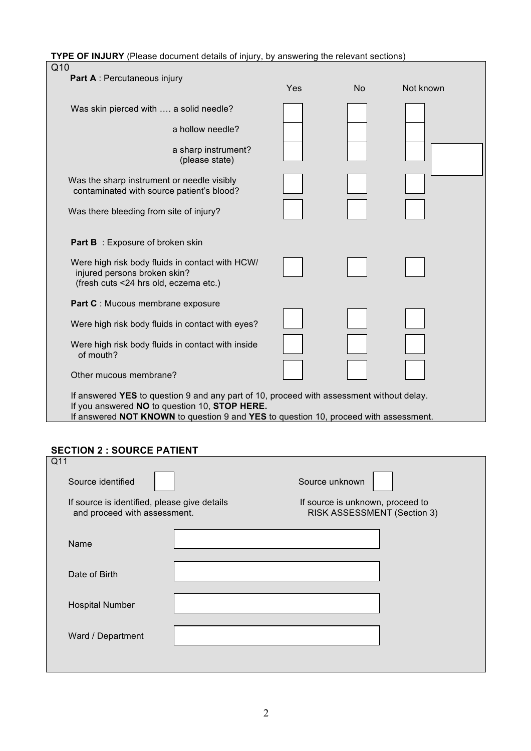**TYPE OF INJURY** (Please document details of injury, by answering the relevant sections)

| Q10                                                                                                                                                                                                                               |     |           |           |
|-----------------------------------------------------------------------------------------------------------------------------------------------------------------------------------------------------------------------------------|-----|-----------|-----------|
| Part A : Percutaneous injury                                                                                                                                                                                                      | Yes | <b>No</b> | Not known |
| Was skin pierced with  a solid needle?                                                                                                                                                                                            |     |           |           |
| a hollow needle?                                                                                                                                                                                                                  |     |           |           |
| a sharp instrument?<br>(please state)                                                                                                                                                                                             |     |           |           |
| Was the sharp instrument or needle visibly<br>contaminated with source patient's blood?                                                                                                                                           |     |           |           |
| Was there bleeding from site of injury?                                                                                                                                                                                           |     |           |           |
| <b>Part B</b> : Exposure of broken skin                                                                                                                                                                                           |     |           |           |
| Were high risk body fluids in contact with HCW/<br>injured persons broken skin?<br>(fresh cuts <24 hrs old, eczema etc.)                                                                                                          |     |           |           |
| Part C : Mucous membrane exposure                                                                                                                                                                                                 |     |           |           |
| Were high risk body fluids in contact with eyes?                                                                                                                                                                                  |     |           |           |
| Were high risk body fluids in contact with inside<br>of mouth?                                                                                                                                                                    |     |           |           |
| Other mucous membrane?                                                                                                                                                                                                            |     |           |           |
| If answered YES to question 9 and any part of 10, proceed with assessment without delay.<br>If you answered NO to question 10, STOP HERE.<br>If answered NOT KNOWN to question 9 and YES to question 10, proceed with assessment. |     |           |           |

## **SECTION 2 : SOURCE PATIENT**

| Q11                                                                          |  |                                                                 |  |
|------------------------------------------------------------------------------|--|-----------------------------------------------------------------|--|
| Source identified                                                            |  | Source unknown                                                  |  |
| If source is identified, please give details<br>and proceed with assessment. |  | If source is unknown, proceed to<br>RISK ASSESSMENT (Section 3) |  |
| Name                                                                         |  |                                                                 |  |
| Date of Birth                                                                |  |                                                                 |  |
| <b>Hospital Number</b>                                                       |  |                                                                 |  |
| Ward / Department                                                            |  |                                                                 |  |
|                                                                              |  |                                                                 |  |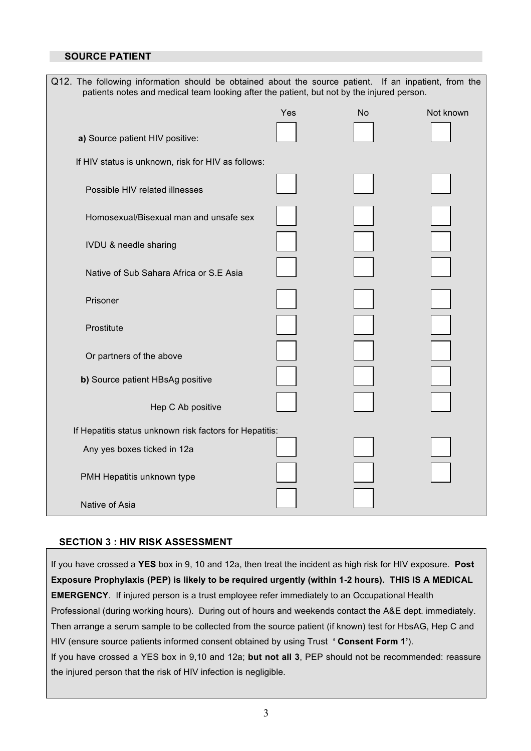#### **SOURCE PATIENT**

| Q12. The following information should be obtained about the source patient. If an inpatient, from the<br>patients notes and medical team looking after the patient, but not by the injured person. |     |           |           |
|----------------------------------------------------------------------------------------------------------------------------------------------------------------------------------------------------|-----|-----------|-----------|
|                                                                                                                                                                                                    | Yes | <b>No</b> | Not known |
| a) Source patient HIV positive:                                                                                                                                                                    |     |           |           |
| If HIV status is unknown, risk for HIV as follows:                                                                                                                                                 |     |           |           |
| Possible HIV related illnesses                                                                                                                                                                     |     |           |           |
| Homosexual/Bisexual man and unsafe sex                                                                                                                                                             |     |           |           |
| <b>IVDU &amp; needle sharing</b>                                                                                                                                                                   |     |           |           |
| Native of Sub Sahara Africa or S.E Asia                                                                                                                                                            |     |           |           |
| Prisoner                                                                                                                                                                                           |     |           |           |
| Prostitute                                                                                                                                                                                         |     |           |           |
| Or partners of the above                                                                                                                                                                           |     |           |           |
| b) Source patient HBsAg positive                                                                                                                                                                   |     |           |           |
| Hep C Ab positive                                                                                                                                                                                  |     |           |           |
| If Hepatitis status unknown risk factors for Hepatitis:                                                                                                                                            |     |           |           |
| Any yes boxes ticked in 12a                                                                                                                                                                        |     |           |           |
| PMH Hepatitis unknown type                                                                                                                                                                         |     |           |           |
| Native of Asia                                                                                                                                                                                     |     |           |           |

#### **SECTION 3 : HIV RISK ASSESSMENT**

If you have crossed a **YES** box in 9, 10 and 12a, then treat the incident as high risk for HIV exposure. **Post Exposure Prophylaxis (PEP) is likely to be required urgently (within 1-2 hours). THIS IS A MEDICAL EMERGENCY**. If injured person is a trust employee refer immediately to an Occupational Health Professional (during working hours). During out of hours and weekends contact the A&E dept. immediately. Then arrange a serum sample to be collected from the source patient (if known) test for HbsAG, Hep C and HIV (ensure source patients informed consent obtained by using Trust **' Consent Form 1'**). If you have crossed a YES box in 9,10 and 12a; **but not all 3**, PEP should not be recommended: reassure the injured person that the risk of HIV infection is negligible.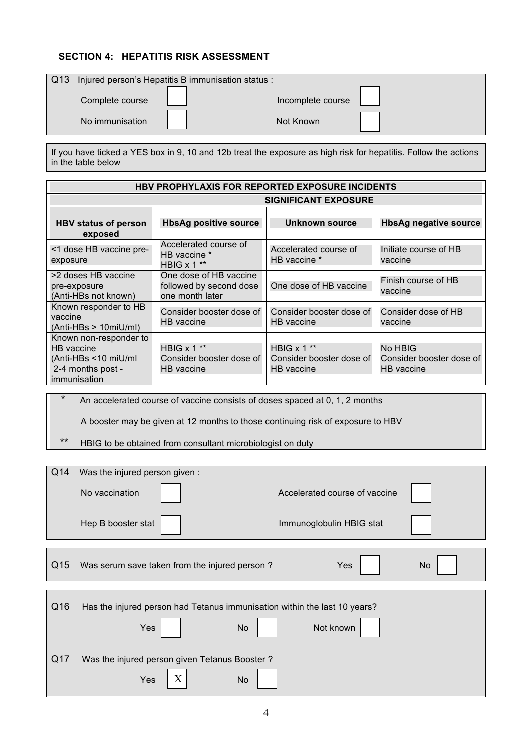## **SECTION 4: HEPATITIS RISK ASSESSMENT**

| $\sqrt{Q}$ 13 |                 | Injured person's Hepatitis B immunisation status : |                   |  |
|---------------|-----------------|----------------------------------------------------|-------------------|--|
|               | Complete course |                                                    | Incomplete course |  |
|               | No immunisation |                                                    | Not Known         |  |

If you have ticked a YES box in 9, 10 and 12b treat the exposure as high risk for hepatitis. Follow the actions in the table below

| <b>HBV PROPHYLAXIS FOR REPORTED EXPOSURE INCIDENTS</b>                                             |                                                                      |                                                           |                                                   |
|----------------------------------------------------------------------------------------------------|----------------------------------------------------------------------|-----------------------------------------------------------|---------------------------------------------------|
|                                                                                                    | <b>SIGNIFICANT EXPOSURE</b>                                          |                                                           |                                                   |
| <b>HBV status of person</b><br>exposed                                                             | <b>HbsAg positive source</b>                                         | <b>Unknown source</b>                                     | <b>HbsAg negative source</b>                      |
| <1 dose HB vaccine pre-<br>exposure                                                                | Accelerated course of<br>HB vaccine *<br>HBIG $x 1$ **               | Accelerated course of<br>HB vaccine *                     | Initiate course of HB<br>vaccine                  |
| >2 doses HB vaccine<br>pre-exposure<br>(Anti-HBs not known)                                        | One dose of HB vaccine<br>followed by second dose<br>one month later | One dose of HB vaccine                                    | Finish course of HB<br>vaccine                    |
| Known responder to HB<br>vaccine<br>$(Anti-HBs > 10miU/ml)$                                        | Consider booster dose of<br>HB vaccine                               | Consider booster dose of<br>HB vaccine                    | Consider dose of HB<br>vaccine                    |
| Known non-responder to<br>HB vaccine<br>(Anti-HBs <10 miU/ml)<br>2-4 months post -<br>immunisation | HBIG $x 1$ **<br>Consider booster dose of<br>HB vaccine              | HBIG $x$ 1 $**$<br>Consider booster dose of<br>HB vaccine | No HBIG<br>Consider booster dose of<br>HB vaccine |

An accelerated course of vaccine consists of doses spaced at 0, 1, 2 months

A booster may be given at 12 months to those continuing risk of exposure to HBV

\*\* HBIG to be obtained from consultant microbiologist on duty

| Q14 | Was the injured person given:                                             |                               |           |
|-----|---------------------------------------------------------------------------|-------------------------------|-----------|
|     | No vaccination                                                            | Accelerated course of vaccine |           |
|     | Hep B booster stat                                                        | Immunoglobulin HBIG stat      |           |
|     |                                                                           |                               |           |
| Q15 | Was serum save taken from the injured person?                             | Yes                           | <b>No</b> |
|     |                                                                           |                               |           |
| Q16 | Has the injured person had Tetanus immunisation within the last 10 years? |                               |           |
|     | <b>Yes</b><br>No                                                          | Not known                     |           |
| Q17 | Was the injured person given Tetanus Booster?                             |                               |           |
|     | X<br>Yes<br>No                                                            |                               |           |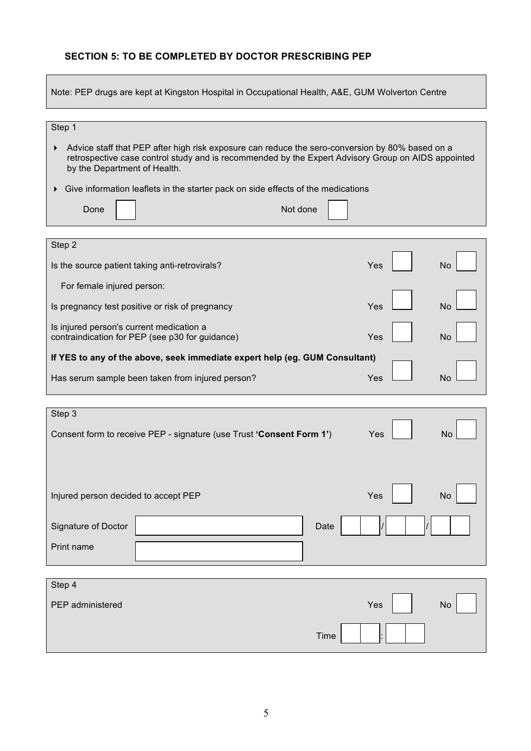## **SECTION 5: TO BE COMPLETED BY DOCTOR PRESCRIBING PEP**

**Contract** 

| Note: PEP drugs are kept at Kingston Hospital in Occupational Health, A&E, GUM Wolverton Centre                                                                                                                                                 |  |  |  |  |
|-------------------------------------------------------------------------------------------------------------------------------------------------------------------------------------------------------------------------------------------------|--|--|--|--|
|                                                                                                                                                                                                                                                 |  |  |  |  |
| Step 1<br>Advice staff that PEP after high risk exposure can reduce the sero-conversion by 80% based on a<br>retrospective case control study and is recommended by the Expert Advisory Group on AIDS appointed<br>by the Department of Health. |  |  |  |  |
| Give information leaflets in the starter pack on side effects of the medications<br>Not done<br>Done                                                                                                                                            |  |  |  |  |
|                                                                                                                                                                                                                                                 |  |  |  |  |
| Step 2<br>Is the source patient taking anti-retrovirals?<br>Yes<br>No                                                                                                                                                                           |  |  |  |  |
| For female injured person:                                                                                                                                                                                                                      |  |  |  |  |
| Yes<br>Is pregnancy test positive or risk of pregnancy<br>No                                                                                                                                                                                    |  |  |  |  |
| Is injured person's current medication a<br>contraindication for PEP (see p30 for guidance)<br>Yes<br>No                                                                                                                                        |  |  |  |  |
| If YES to any of the above, seek immediate expert help (eg. GUM Consultant)                                                                                                                                                                     |  |  |  |  |
| Yes<br>Has serum sample been taken from injured person?<br><b>No</b>                                                                                                                                                                            |  |  |  |  |
|                                                                                                                                                                                                                                                 |  |  |  |  |
| Step 3                                                                                                                                                                                                                                          |  |  |  |  |
| Consent form to receive PEP - signature (use Trust 'Consent Form 1')<br>No<br>Yes                                                                                                                                                               |  |  |  |  |
|                                                                                                                                                                                                                                                 |  |  |  |  |
| Injured person decided to accept PEP<br>Yes<br><b>No</b>                                                                                                                                                                                        |  |  |  |  |
| Signature of Doctor<br>Date                                                                                                                                                                                                                     |  |  |  |  |
| Print name                                                                                                                                                                                                                                      |  |  |  |  |
|                                                                                                                                                                                                                                                 |  |  |  |  |
| Step 4                                                                                                                                                                                                                                          |  |  |  |  |
| PEP administered<br>Yes<br>No                                                                                                                                                                                                                   |  |  |  |  |
| <b>Time</b>                                                                                                                                                                                                                                     |  |  |  |  |